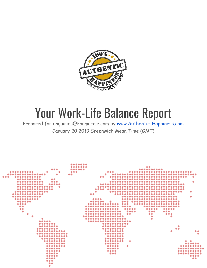

# Your Work-Life Balance Report

Prepared for enquiries@karmacise.com by [www.Authentic-Happiness.com](http://www.authentic-happiness.com/) January 20 2019 [Greenwich](http://www.timeanddate.com/time/zones/gmt) Mean Time (GMT)

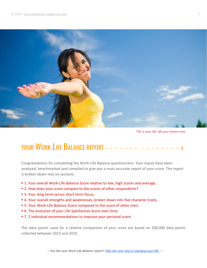![](_page_1_Picture_1.jpeg)

*This is your life, life your dream now*

## YOUR WORK-LIFE BALANCE REPORT - - -

Congratulations for completing the Work-Life Balance questionnaire. Your inputs have been analyzed, benchmarked and compiled to give you a most accurate report of your score. The report is broken down into six sections:

- ► 1. Your overall Work-Life Balance Score relative to low, high scores and average;
- ► 2. How does your score compare to the scores of other respondents?
- ► 3. Your long-term versus short-term focus;
- ► 4. Your overall strengths and weaknesses, broken down into five character traits;
- ► 5. Your Work-Life Balance Score compared to the score of other men;
- ► 6. The evolution of your Life Satisfaction Score over time;
- ► 7. 2 individual recommendations to improve your personal score.

The data points used for a relative comparison of your score are based on 200,000 data points collected between 2015 and 2019.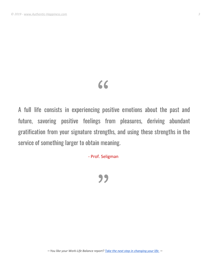## "

A full life consists in experiencing positive emotions about the past and future, savoring positive feelings from pleasures, deriving abundant gratification from your signature strengths, and using these strengths in the service of something larger to obtain meaning.

- Prof. Seligman

**"**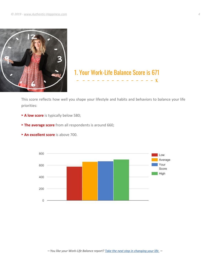![](_page_3_Picture_1.jpeg)

## 1. Your Work-Life Balance Score is 671 - - - - - - - - - - - - - - - - X

This score reflects how well you shape your lifestyle and habits and behaviors to balance your life priorities:

- ► **A low score** is typically below 580;
- ► **The average score** from all respondents is around 660;

![](_page_3_Figure_6.jpeg)

► **An excellent score** is above 700.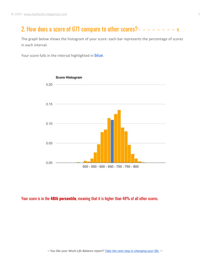## 2. How does a score of 671 compare to other scores?- - - - - - - -  $\times$

The graph below shows the histogram of your score: each bar represents the percentage of scores in each interval.

Your score falls in the interval highlighted in **blue**.

![](_page_4_Figure_4.jpeg)

Your score is in the **48th percentile**, meaning that it is higher than 48% of all other scores.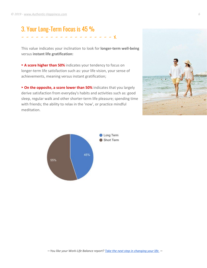## 3. Your Long-Term Focus is 45 % - - - - - - - - - - - - - - - - - - - X

This value indicates your inclination to look for **longer-term well-being** versus **instant life gratification:**

► **A score higher than 50%** indicates your tendency to focus on longer-term life satisfaction such as: your life vision, your sense of achievements, meaning versus instant gratification;

► **On the opposite, a score lower than 50%** indicates that you largely derive satisfaction from everyday's habits and activities such as: good sleep, regular walk and other shorter-term life pleasure; spending time with friends; the ability to relax in the 'now', or practice mindful meditation.

![](_page_5_Picture_5.jpeg)

![](_page_5_Figure_6.jpeg)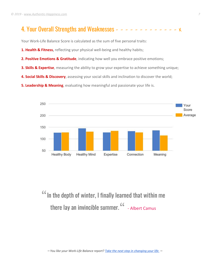## 4. Your Overall Strengths and Weaknesses  $- - - - - - - - - - - -$

Your Work-Life Balance Score is calculated as the sum of five personal traits:

- **1. Health & Fitness,** reflecting your physical well-being and healthy habits;
- **2. Positive Emotions & Gratitude**, indicating how well you embrace positive emotions;
- **3. Skills & Expertise**, measuring the ability to grow your expertise to achieve something unique;
- **4. Social Skills & Discovery**, assessing your social skills and inclination to discover the world;
- **5. Leadership & Meaning**, evaluating how meaningful and passionate your life is.

![](_page_6_Figure_8.jpeg)

In the depth of winter, I finally learned that within me there lay an invincible summer.<sup>66</sup> - Albert [Camus](http://www.goodreads.com/author/show/957894.Albert_Camus)

⎼ *You like your Work-Life Balance report? Take the next step in [changing](https://amzn.to/2G4SnGp) your life.* ⎼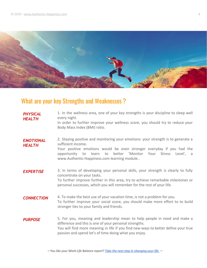![](_page_7_Picture_1.jpeg)

## What are your key Strengths and Weaknesses ?

| <b>PHYSICAL</b><br><b>HEALTH</b>  | 1. In the wellness area, one of your key strengths is your discipline to sleep well<br>every night.<br>In order to further improve your wellness score, you should try to reduce your<br>Body Mass Index (BMI) ratio.                                                                                 |
|-----------------------------------|-------------------------------------------------------------------------------------------------------------------------------------------------------------------------------------------------------------------------------------------------------------------------------------------------------|
| <b>EMOTIONAL</b><br><b>HEALTH</b> | 2. Staying positive and monitoring your emotions: your strength is to generate a<br>sufficient income.<br>Your positive emotions would be even stronger everyday if you had the<br>better 'Monitor Your Stress Level', a<br>learn to<br>opportunity to<br>www.Authentic-Happiness.com learning module |
| <b>EXPERTISE</b>                  | 3. In terms of developing your personal skills, your strength is clearly to fully<br>concentrate on your tasks.<br>To further improve further in this area, try to achieve remarkable milestones or<br>personal successes, which you will remember for the rest of your life.                         |
| <b>CONNECTION</b>                 | 4. To make the best use of your vacation time, is not a problem for you.<br>To further improve your social score, you should make more effort to to build<br>stronger ties to your family and friends.                                                                                                |
| <b>PURPOSE</b>                    | 5. For you, meaning and leadership mean to help people in need and make a<br>difference and this is one of your personal strengths.<br>You will find more meaning in life if you find new ways to better define your true<br>passion and spend lot's of time doing what you enjoy.                    |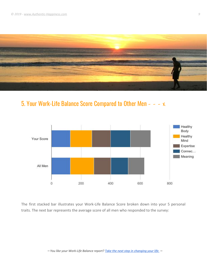![](_page_8_Picture_1.jpeg)

### 5. Your Work-Life Balance Score Compared to Other Men - - - x

![](_page_8_Figure_3.jpeg)

The first stacked bar illustrates your Work-Life Balance Score broken down into your 5 personal traits. The next bar represents the average score of all men who responded to the survey:

⎼ *You like your Work-Life Balance report? Take the next step in [changing](https://amzn.to/2G4SnGp) your life.* ⎼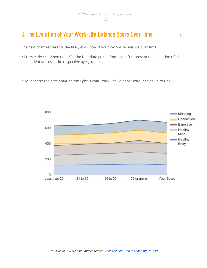#### 6. The Evolution of Your Work-Life Balance Score Over Time- - - - - -  $\times$

The next chart represents the likely evolution of your Work-Life Balance over time:

► From early childhood until 50 : the four data points from the left represent the evolution of all respondent scores in the respective age groups;

► Your Score: the data point on the right is your Work-Life Balance Score, adding up to 671.

![](_page_9_Figure_6.jpeg)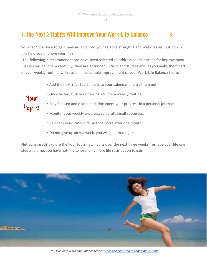#### 7. The Next 2 Habits Will Improve Your Work-Life Balance  $- - - \times$

So what? It is nice to gain new insights into your relative strengths and weaknesses, but how will this help you improve your life?

The following 2 recommendations have been selected to address specific areas for improvement. Please consider them carefully, they are grounded in facts and studies and, as you make them part of your weekly routine, will result in measurable improvement of your Work-Life Balance Score:

- ► Add the next Your top 2 habits to your calendar and try them out;
- ► Once tested, turn your new habits into a weekly routine;
- ► Stay focused and disciplined, document your progress in a personal journal;
- ► Monitor your weekly progress, celebrate small successes;
- ► Re-check your Work-Life Balance Score after one month;
- ► Do not give up after a week, you will get amazing results.

**Not convinced?** Explore the Your top 2 new habits over the next three weeks; reshape your life one step at a time, you have nothing to lose, only more life satisfaction to gain!

![](_page_10_Picture_12.jpeg)

⎼ *You like your Work-Life Balance report? Take the next step in [changing](https://amzn.to/2G4SnGp) your life.* ⎼

Your too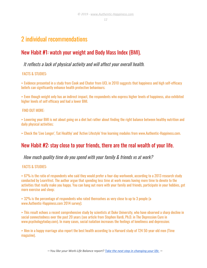## 2 individual recommendations

#### New Habit #1: watch your weight and Body Mass Index (BMI).

It reflects <sup>a</sup> lack of physical activity and will affect your overall health.

#### FACTS & STUDIES:

► Evidence presented in a study from Cook and Chater from UCL in 2010 suggests that happiness and high self-efficacy beliefs can significantly enhance health protective behaviours;

► Even though weight only has an indirect impact, the respondents who express higher levels of happiness, also exhibited higher levels of self efficacy and had a lower BMI.

#### FIND OUT MORE:

► Lowering your BMI is not about going on a diet but rather about finding the right balance between healthy nutrition and daily physical activities;

► Check the 'Live Longer', 'Eat Healthy' and 'Active Lifestyle' free learning modules from www.Authentic-Happiness.com.

#### New Habit #2: stay close to your friends, there are the real wealth of your life.

#### How much quality time do you spend with your family & friends vs at work?

#### FACTS & STUDIES:

► 67% is the ratio of respondents who said they would prefer a four-day workweek, according to a 2013 research study conducted by LearnVest. The author argue that spending less time at work means having more time to devote to the activities that really make you happy. You can hang out more with your family and friends, participate in your hobbies, get more exercise and sleep;

► 32% is the percentage of respondents who rated themselves as very close to up to 3 people (a www.Authentic-Happiness.com 2014 survey);

► This result echoes a recent comprehensive study by scientists at Duke University, who have observed a sharp decline in social connectedness over the past 20 years (see article from Stephen Ilardi, Ph.D. in The Depression Cure in www.psychologytoday.com). In many cases, social isolation increases the feelings of loneliness and depression;

► Men in a happy marriage also report the best health according to a Harvard study of 724 50-year-old men (Time magazine).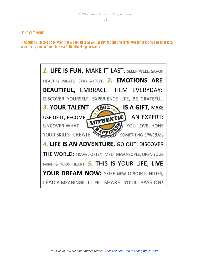#### FIND OUT MORE:

► Additional studies on relationship & happiness as well as key actions and templates for creating a happier local community can be found in www.Authentic-Happiness.com.

![](_page_12_Picture_4.jpeg)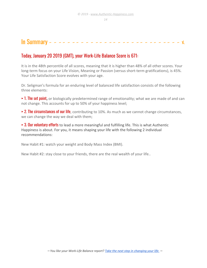## In Summary - - - - - - - - - - - - - - - - - - - - - - - - - - - - - X

#### Today, January 20 2019 (GMT), your Work-Life Balance Score is 671:

It is in the 48th percentile of all scores, meaning that it is higher than 48% of all other scores. Your long-term focus on your Life Vision, Meaning or Passion (versus short-term gratifications), is 45%. Your Life Satisfaction Score evolves with your age.

Dr. Seligman's formula for an enduring level of balanced life satisfaction consists of the following three elements:

► 1. The set point**,** or biologically predetermined range of emotionality; what we are made of and can not change. This accounts for up to 50% of your happiness level;

 $\rightarrow$  2. The circumstances of our life, contributing to 10%. As much as we cannot change circumstances, we can change the way we deal with them;

► 3. Our voluntary efforts to lead a more meaningful and fulfilling life. This is what Authentic Happiness is about. For you, it means shaping your life with the following 2 individual recommendations:

New Habit #1: watch your weight and Body Mass Index (BMI).

New Habit #2: stay close to your friends, there are the real wealth of your life..